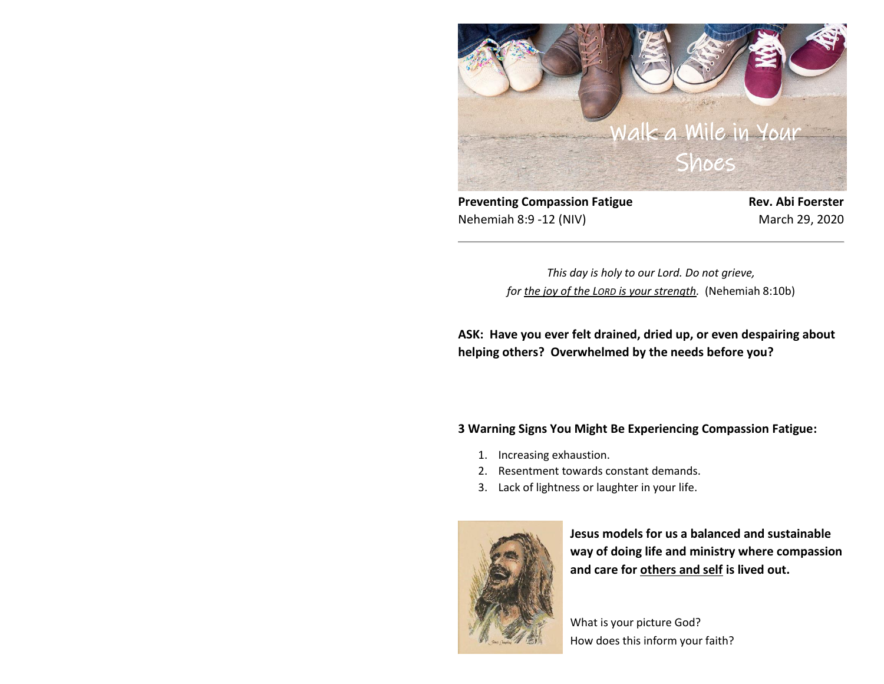

**Preventing Compassion Fatigue <b>Rev. Abi Foerster** Nehemiah 8:9 -12 (NIV) March 29, 2020

*This day is holy to our Lord. Do not grieve, for the joy of the LORD is your strength.* (Nehemiah 8:10b)

**ASK: Have you ever felt drained, dried up, or even despairing about helping others? Overwhelmed by the needs before you?**

# **3 Warning Signs You Might Be Experiencing Compassion Fatigue:**

- 1. Increasing exhaustion.
- 2. Resentment towards constant demands.
- 3. Lack of lightness or laughter in your life.



**Jesus models for us a balanced and sustainable way of doing life and ministry where compassion and care for others and self is lived out.**

What is your picture God? How does this inform your faith?